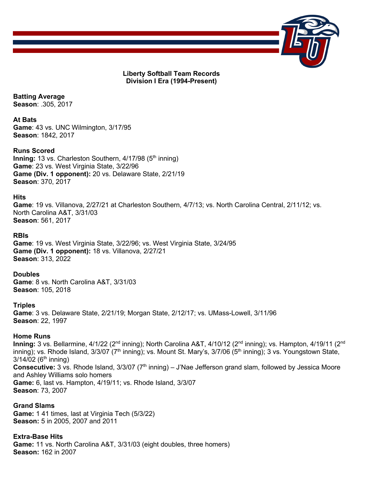

**Liberty Softball Team Records Division I Era (1994-Present)**

**Batting Average Season**: .305, 2017

**At Bats Game**: 43 vs. UNC Wilmington, 3/17/95 **Season**: 1842, 2017

**Runs Scored**

**Inning:** 13 vs. Charleston Southern, 4/17/98 (5<sup>th</sup> inning) **Game**: 23 vs. West Virginia State, 3/22/96 **Game (Div. 1 opponent):** 20 vs. Delaware State, 2/21/19 **Season**: 370, 2017

**Hits**

**Game**: 19 vs. Villanova, 2/27/21 at Charleston Southern, 4/7/13; vs. North Carolina Central, 2/11/12; vs. North Carolina A&T, 3/31/03 **Season**: 561, 2017

**RBIs**

**Game**: 19 vs. West Virginia State, 3/22/96; vs. West Virginia State, 3/24/95 **Game (Div. 1 opponent):** 18 vs. Villanova, 2/27/21 **Season**: 313, 2022

**Doubles Game**: 8 vs. North Carolina A&T, 3/31/03 **Season**: 105, 2018

**Triples Game**: 3 vs. Delaware State, 2/21/19; Morgan State, 2/12/17; vs. UMass-Lowell, 3/11/96 **Season**: 22, 1997

### **Home Runs**

Inning: 3 vs. Bellarmine, 4/1/22 (2<sup>nd</sup> inning); North Carolina A&T, 4/10/12 (2<sup>nd</sup> inning); vs. Hampton, 4/19/11 (2<sup>nd</sup> inning); vs. Rhode Island, 3/3/07 (7<sup>th</sup> inning); vs. Mount St. Mary's, 3/7/06 (5<sup>th</sup> inning); 3 vs. Youngstown State,  $3/14/02$  (6<sup>th</sup> inning) **Consecutive:** 3 vs. Rhode Island, 3/3/07 (7<sup>th</sup> inning) – J'Nae Jefferson grand slam, followed by Jessica Moore and Ashley Williams solo homers **Game:** 6, last vs. Hampton, 4/19/11; vs. Rhode Island, 3/3/07 **Season**: 73, 2007

**Grand Slams Game:** 1 41 times, last at Virginia Tech (5/3/22) **Season:** 5 in 2005, 2007 and 2011

**Extra-Base Hits Game:** 11 vs. North Carolina A&T, 3/31/03 (eight doubles, three homers) **Season:** 162 in 2007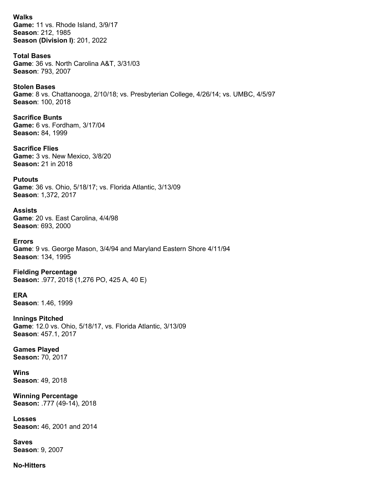**Walks Game:** 11 vs. Rhode Island, 3/9/17 **Season**: 212, 1985 **Season (Division I)**: 201, 2022

**Total Bases Game**: 36 vs. North Carolina A&T, 3/31/03 **Season**: 793, 2007

**Stolen Bases Game**: 8 vs. Chattanooga, 2/10/18; vs. Presbyterian College, 4/26/14; vs. UMBC, 4/5/97 **Season**: 100, 2018

**Sacrifice Bunts Game:** 6 vs. Fordham, 3/17/04 **Season:** 84, 1999

**Sacrifice Flies Game:** 3 vs. New Mexico, 3/8/20 **Season:** 21 in 2018

**Putouts Game**: 36 vs. Ohio, 5/18/17; vs. Florida Atlantic, 3/13/09 **Season**: 1,372, 2017

**Assists Game**: 20 vs. East Carolina, 4/4/98 **Season**: 693, 2000

**Errors Game**: 9 vs. George Mason, 3/4/94 and Maryland Eastern Shore 4/11/94 **Season**: 134, 1995

**Fielding Percentage Season:** .977, 2018 (1,276 PO, 425 A, 40 E)

**ERA Season**: 1.46, 1999

**Innings Pitched Game**: 12.0 vs. Ohio, 5/18/17, vs. Florida Atlantic, 3/13/09 **Season**: 457.1, 2017

**Games Played Season:** 70, 2017

**Wins Season**: 49, 2018

**Winning Percentage Season:** .777 (49-14), 2018

**Losses Season:** 46, 2001 and 2014

**Saves Season**: 9, 2007

**No-Hitters**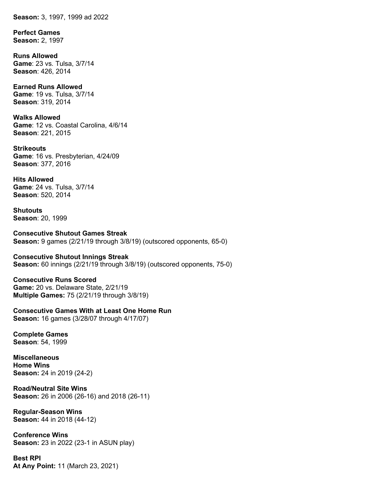**Season:** 3, 1997, 1999 ad 2022

**Perfect Games Season:** 2, 1997

**Runs Allowed Game**: 23 vs. Tulsa, 3/7/14 **Season**: 426, 2014

**Earned Runs Allowed Game**: 19 vs. Tulsa, 3/7/14 **Season**: 319, 2014

**Walks Allowed Game**: 12 vs. Coastal Carolina, 4/6/14 **Season**: 221, 2015

**Strikeouts Game**: 16 vs. Presbyterian, 4/24/09 **Season**: 377, 2016

**Hits Allowed Game**: 24 vs. Tulsa, 3/7/14 **Season**: 520, 2014

**Shutouts Season**: 20, 1999

**Consecutive Shutout Games Streak Season:** 9 games (2/21/19 through 3/8/19) (outscored opponents, 65-0)

**Consecutive Shutout Innings Streak Season:** 60 innings (2/21/19 through 3/8/19) (outscored opponents, 75-0)

**Consecutive Runs Scored Game:** 20 vs. Delaware State, 2/21/19 **Multiple Games:** 75 (2/21/19 through 3/8/19)

**Consecutive Games With at Least One Home Run Season:** 16 games (3/28/07 through 4/17/07)

**Complete Games Season**: 54, 1999

**Miscellaneous Home Wins Season:** 24 in 2019 (24-2)

**Road/Neutral Site Wins Season:** 26 in 2006 (26-16) and 2018 (26-11)

**Regular-Season Wins Season:** 44 in 2018 (44-12)

**Conference Wins Season:** 23 in 2022 (23-1 in ASUN play)

**Best RPI At Any Point:** 11 (March 23, 2021)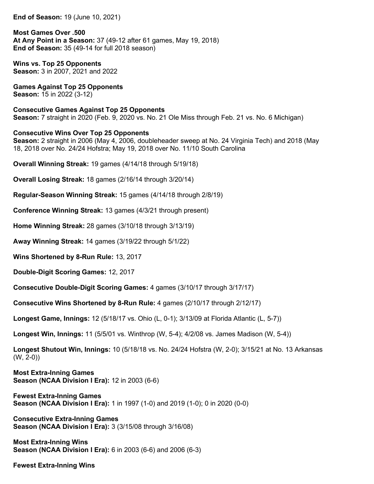**End of Season:** 19 (June 10, 2021)

**Most Games Over .500 At Any Point in a Season:** 37 (49-12 after 61 games, May 19, 2018) **End of Season:** 35 (49-14 for full 2018 season)

**Wins vs. Top 25 Opponents Season:** 3 in 2007, 2021 and 2022

**Games Against Top 25 Opponents Season:** 15 in 2022 (3-12)

**Consecutive Games Against Top 25 Opponents Season:** 7 straight in 2020 (Feb. 9, 2020 vs. No. 21 Ole Miss through Feb. 21 vs. No. 6 Michigan)

### **Consecutive Wins Over Top 25 Opponents**

**Season:** 2 straight in 2006 (May 4, 2006, doubleheader sweep at No. 24 Virginia Tech) and 2018 (May 18, 2018 over No. 24/24 Hofstra; May 19, 2018 over No. 11/10 South Carolina

**Overall Winning Streak:** 19 games (4/14/18 through 5/19/18)

**Overall Losing Streak:** 18 games (2/16/14 through 3/20/14)

**Regular-Season Winning Streak:** 15 games (4/14/18 through 2/8/19)

**Conference Winning Streak:** 13 games (4/3/21 through present)

**Home Winning Streak:** 28 games (3/10/18 through 3/13/19)

**Away Winning Streak:** 14 games (3/19/22 through 5/1/22)

**Wins Shortened by 8-Run Rule:** 13, 2017

**Double-Digit Scoring Games:** 12, 2017

**Consecutive Double-Digit Scoring Games:** 4 games (3/10/17 through 3/17/17)

**Consecutive Wins Shortened by 8-Run Rule:** 4 games (2/10/17 through 2/12/17)

**Longest Game, Innings:** 12 (5/18/17 vs. Ohio (L, 0-1); 3/13/09 at Florida Atlantic (L, 5-7))

**Longest Win, Innings:** 11 (5/5/01 vs. Winthrop (W, 5-4); 4/2/08 vs. James Madison (W, 5-4))

**Longest Shutout Win, Innings:** 10 (5/18/18 vs. No. 24/24 Hofstra (W, 2-0); 3/15/21 at No. 13 Arkansas  $(W, 2-0)$ 

**Most Extra-Inning Games Season (NCAA Division I Era):** 12 in 2003 (6-6)

**Fewest Extra-Inning Games Season (NCAA Division I Era):** 1 in 1997 (1-0) and 2019 (1-0); 0 in 2020 (0-0)

**Consecutive Extra-Inning Games Season (NCAA Division I Era):** 3 (3/15/08 through 3/16/08)

**Most Extra-Inning Wins Season (NCAA Division I Era):** 6 in 2003 (6-6) and 2006 (6-3)

**Fewest Extra-Inning Wins**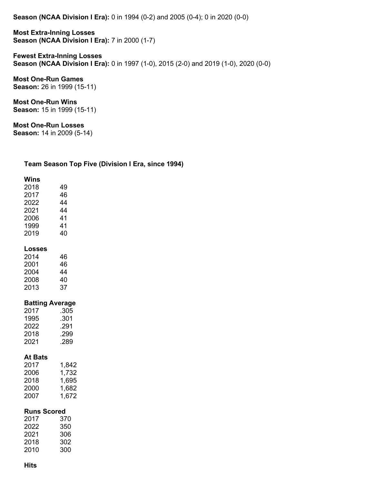**Season (NCAA Division I Era):** 0 in 1994 (0-2) and 2005 (0-4); 0 in 2020 (0-0)

**Most Extra-Inning Losses Season (NCAA Division I Era):** 7 in 2000 (1-7)

**Fewest Extra-Inning Losses Season (NCAA Division I Era):** 0 in 1997 (1-0), 2015 (2-0) and 2019 (1-0), 2020 (0-0)

**Most One-Run Games Season:** 26 in 1999 (15-11)

**Most One-Run Wins Season:** 15 in 1999 (15-11)

**Most One-Run Losses**

**Season:** 14 in 2009 (5-14)

### **Team Season Top Five (Division I Era, since 1994)**

| Wins   |                        |
|--------|------------------------|
| 2018   | 49                     |
| 2017   | 46                     |
| 2022   | 44                     |
| 2021   | 44                     |
| 2006   | 41                     |
| 1999   | 41                     |
| 2019   | 40                     |
| Losses |                        |
| 2014   | 46                     |
| 2001   | 46                     |
| 2004   | - 44                   |
| 2008   | 40                     |
| 2013   | 37                     |
|        | <b>Batting Average</b> |
| 2017   | .305                   |
| 1995   | .301                   |
| 2022   | .291                   |
| 2018   | .299                   |
| 2021   | .289                   |

#### **At Bats**

| 2017 | 1,842 |
|------|-------|
| 2006 | 1,732 |
| 2018 | 1.695 |
| 2000 | 1.682 |
| 2007 | 1.672 |

### **Runs Scored**

| 2017 | 370 |
|------|-----|
| 2022 | 350 |
| 2021 | 306 |
| 2018 | 302 |
| 2010 | 300 |
|      |     |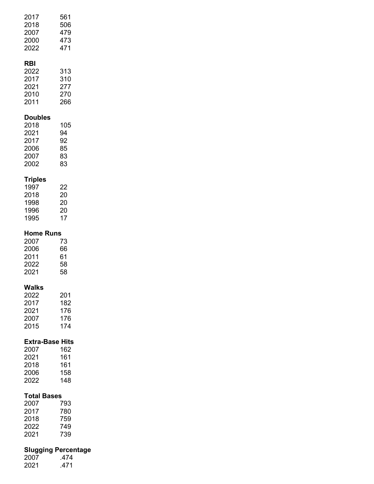| 2017<br>2018<br>2007<br>2000<br>2022                           | 561<br>506<br>479<br>473<br>471            |
|----------------------------------------------------------------|--------------------------------------------|
| RBI<br>2022<br>2017<br>2021<br>2010<br>2011                    | 313<br>310<br>277<br>270<br>266            |
| <b>Doubles</b><br>2018<br>2021<br>2017<br>2006<br>2007<br>2002 | 105<br>94<br>92<br>85<br>83<br>83          |
| <b>Triples</b><br>1997<br>2018<br>1998<br>1996<br>1995         | 22<br>20<br>20<br>20<br>17                 |
| <b>Home Runs</b><br>2007<br>2006<br>2011<br>2022<br>2021       | 73<br>66<br>61<br>58<br>58                 |
| Walks<br>2022<br>2017<br>2021<br>2007<br>2015                  | 201<br>182<br>176<br>176<br>174            |
| <b>Extra-Base Hits</b><br>2007<br>2021<br>2018<br>2006<br>2022 | 162<br>161<br>161<br>158<br>148            |
| <b>Total Bases</b><br>2007<br>2017<br>2018<br>2022<br>2021     | 793<br>780<br>759<br>749<br>739            |
| 2007<br>2021                                                   | <b>Slugging Percentage</b><br>.474<br>.471 |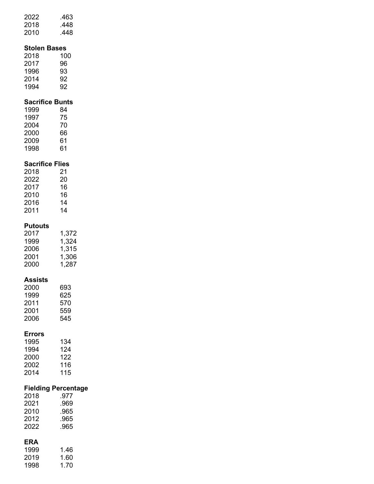| 2022 | .463 |
|------|------|
| 2018 | .448 |
| 2010 | .448 |
|      |      |

# **Stolen Bases**

| 2018 | 100 |
|------|-----|
| 2017 | 96  |
| 1996 | 93  |
| 2014 | 92  |
| 1994 | 92  |

# **Sacrifice Bunts**

| 1999 | 84 |
|------|----|
| 1997 | 75 |
| 2004 | 70 |
| 2000 | 66 |
| 2009 | 61 |
| 1998 | 61 |

# **Sacrifice Flies**

| 2018 | 21 |
|------|----|
| 2022 | 20 |
| 2017 | 16 |
| 2010 | 16 |
| 2016 | 14 |
| 2011 | 14 |

## **Putouts**

| 2017 | 1.372 |
|------|-------|
| 1999 | 1.324 |
| 2006 | 1,315 |
| 2001 | 1,306 |
| 2000 | 1.287 |
|      |       |

### **Assists**

| 693 |
|-----|
| 625 |
| 570 |
| 559 |
| 545 |
|     |

# **Errors**

| 1995 | 134 |
|------|-----|
| 1994 | 124 |
| 2000 | 122 |
| 2002 | 116 |
| 2014 | 115 |
|      |     |

## **Fielding Percentage**

| 2018 | 977  |
|------|------|
| 2021 | .969 |
| 2010 | .965 |
| 2012 | .965 |
| 2022 | 965  |
|      |      |

# **ERA**

| 1999 | 1.46 |
|------|------|
| 2019 | 1.60 |
| 1998 | 1.70 |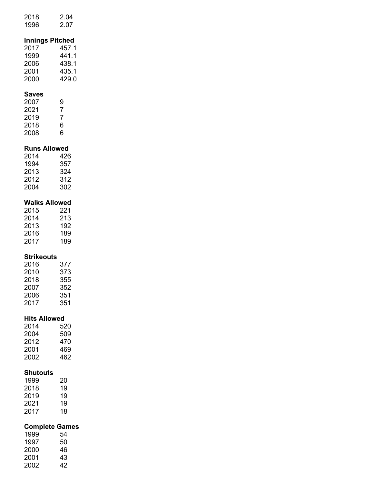| 2018 | 2.04 |
|------|------|
| 1996 | 2.07 |

# **Innings Pitched**

| 457.1 |
|-------|
| 441.1 |
| 438.1 |
| 435.1 |
| 429.0 |
|       |

## **Saves**

| 2007 | 9 |
|------|---|
| 2021 | 7 |
| 2019 | 7 |
| 2018 | 6 |
| 2008 | 6 |

### **Runs Allowed**

| 2014 | 426 |
|------|-----|
| 1994 | 357 |
| 2013 | 324 |
| 2012 | 312 |
| 2004 | 302 |
|      |     |

## **Walks Allowed**

| 2015 | 221 |
|------|-----|
| 2014 | 213 |
| 2013 | 192 |
| 2016 | 189 |
| 2017 | 189 |

# **Strikeouts**

| 377 |
|-----|
| 373 |
| 355 |
| 352 |
| 351 |
| 351 |
|     |

## **Hits Allowed**

| 2014 | 520 |
|------|-----|
| 2004 | 509 |
| 2012 | 470 |
| 2001 | 469 |
| 2002 | 462 |
|      |     |

### **Shutouts**

| 20 |
|----|
| 19 |
| 19 |
| 19 |
| 18 |
|    |

## **Complete Games**

| 1999 | 54 |
|------|----|
| 1997 | 50 |
| 2000 | 46 |
| 2001 | 43 |
| 2002 | 42 |
|      |    |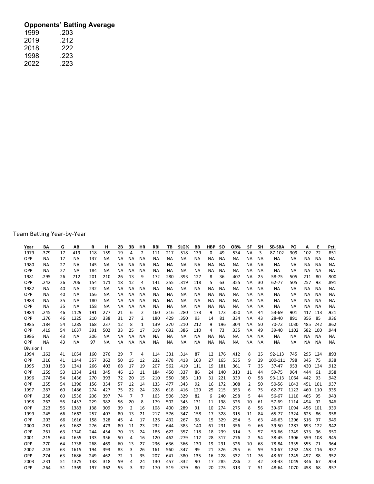# **Opponents' Batting Average**

| 1999 | .203 |
|------|------|
| 2019 | .212 |
| 2018 | .222 |
| 1998 | .223 |
| 2022 | .223 |

Team Batting Year-by-Year

| Year     | ВΑ        | G  | AB        | R   | н         | 2В        | 3В        | <b>HR</b>      | <b>RBI</b> | ΤВ        | SLG%      | BB        | <b>HBP</b> | <b>SO</b> | OB%       | SF        | <b>SH</b> | SB-SBA    | PO        | A         | Е         | Pct.      |
|----------|-----------|----|-----------|-----|-----------|-----------|-----------|----------------|------------|-----------|-----------|-----------|------------|-----------|-----------|-----------|-----------|-----------|-----------|-----------|-----------|-----------|
| 1979     | .379      | 17 | 419       | 118 | 159       | 19        | 4         | $\overline{2}$ | 111        | 217       | .518      | 139       | 0          | 49        | .534      | <b>NA</b> | 3         | 87-102    | 309       | 102       | 72        | .851      |
| OPP      | <b>NA</b> | 17 | <b>NA</b> | 137 | <b>NA</b> | NА        | ΝA        | <b>NA</b>      | <b>NA</b>  | <b>NA</b> | <b>NA</b> | <b>NA</b> | NА         | ΝA        | <b>NA</b> | ΝA        | <b>NA</b> | <b>NA</b> | <b>NA</b> | <b>NA</b> | <b>NA</b> | <b>NA</b> |
| 1980     | <b>NA</b> | 27 | <b>NA</b> | 145 | <b>NA</b> | <b>NA</b> | <b>NA</b> | <b>NA</b>      | <b>NA</b>  | ΝA        | <b>NA</b> | <b>NA</b> | NA         | <b>NA</b> | <b>NA</b> | ΝA        | <b>NA</b> | <b>NA</b> | <b>NA</b> | <b>NA</b> | <b>NA</b> | <b>NA</b> |
| OPP      | <b>NA</b> | 27 | <b>NA</b> | 184 | <b>NA</b> | <b>NA</b> | <b>NA</b> | <b>NA</b>      | <b>NA</b>  | <b>NA</b> | <b>NA</b> | <b>NA</b> | <b>NA</b>  | <b>NA</b> | <b>NA</b> | <b>NA</b> | <b>NA</b> | <b>NA</b> | <b>NA</b> | <b>NA</b> | <b>NA</b> | <b>NA</b> |
| 1981     | .295      | 26 | 712       | 201 | 210       | 26        | 13        | 9              | 172        | 280       | .393      | 127       | 8          | 36        | .407      | NА        | 25        | 58-75     | 505       | 211       | 80        | .900      |
| OPP      | .242      | 26 | 706       | 154 | 171       | 18        | 12        | 4              | 141        | 255       | .319      | 118       | 5          | 63        | .355      | <b>NA</b> | 30        | 62-77     | 505       | 257       | 93        | .891      |
| 1982     | <b>NA</b> | 40 | <b>NA</b> | 232 | <b>NA</b> | <b>NA</b> | <b>NA</b> | <b>NA</b>      | <b>NA</b>  | <b>NA</b> | <b>NA</b> | <b>NA</b> | NА         | <b>NA</b> | <b>NA</b> | ΝA        | <b>NA</b> | <b>NA</b> | <b>NA</b> | <b>NA</b> | <b>NA</b> | <b>NA</b> |
| OPP      | NА        | 40 | ΝA        | 156 | NА        | ΝA        | ΝA        | <b>NA</b>      | NА         | ΝA        | <b>NA</b> | ΝA        | NА         | <b>NA</b> | NА        | ΝA        | NА        | ΝA        | ΝA        | ΝA        | <b>NA</b> | <b>NA</b> |
| 1983     | <b>NA</b> | 35 | <b>NA</b> | 180 | <b>NA</b> | <b>NA</b> | <b>NA</b> | <b>NA</b>      | <b>NA</b>  | ΝA        | <b>NA</b> | <b>NA</b> | <b>NA</b>  | <b>NA</b> | NA        | ΝA        | <b>NA</b> | <b>NA</b> | <b>NA</b> | <b>NA</b> | <b>NA</b> | <b>NA</b> |
| OPP      | <b>NA</b> | 35 | <b>NA</b> | 158 | ΝA        | <b>NA</b> | ΝA        | <b>NA</b>      | <b>NA</b>  | ΝA        | <b>NA</b> | <b>NA</b> | NА         | <b>NA</b> | <b>NA</b> | ΝA        | NА        | <b>NA</b> | <b>NA</b> | <b>NA</b> | <b>NA</b> | <b>NA</b> |
| 1984     | .245      | 46 | 1129      | 191 | 277       | 21        | 6         | $\overline{2}$ | 160        | 316       | .280      | 173       | 9          | 173       | .350      | ΝA        | 44        | 53-69     | 901       | 417       | 113       | .921      |
| OPP      | .276      | 46 | 1225      | 210 | 338       | 31        | 27        | 2              | 180        | 429       | .350      | 93        | 14         | 81        | .334      | ΝA        | 43        | 28-40     | 891       | 356       | 85        | .936      |
| 1985     | .184      | 54 | 1285      | 168 | 237       | 12        | 8         | 1              | 139        | 270       | .210      | 212       | 9          | 196       | .304      | <b>NA</b> | 50        | 70-72     | 1030      | 485       | 242       | .862      |
| OPP      | .419      | 54 | 1637      | 391 | 502       | 33        | 25        | 17             | 319        | 632       | .386      | 110       | 4          | 73        | .335      | <b>NA</b> | 49        | 39-40     | 1102      | 582       | 100       | .944      |
| 1986     | ΝA        | 43 | <b>NA</b> | 206 | ΝA        | <b>NA</b> | ΝA        | <b>NA</b>      | <b>NA</b>  | <b>NA</b> | <b>NA</b> | <b>NA</b> | ΝA         | <b>NA</b> | <b>NA</b> | ΝA        | ΝA        | ΝA        | <b>NA</b> | ΝA        | <b>NA</b> | <b>NA</b> |
| OPP      | <b>NA</b> | 43 | <b>NA</b> | 97  | ΝA        | <b>NA</b> | NA        | <b>NA</b>      | <b>NA</b>  | <b>NA</b> | <b>NA</b> | <b>NA</b> | <b>NA</b>  | <b>NA</b> | <b>NA</b> | ΝA        | <b>NA</b> | <b>NA</b> | NA        | <b>NA</b> | <b>NA</b> | <b>NA</b> |
| Division |           |    |           |     |           |           |           |                |            |           |           |           |            |           |           |           |           |           |           |           |           |           |
| 1994     | .262      | 41 | 1054      | 160 | 276       | 29        | 7         | 4              | 114        | 331       | .314      | 87        | 12         | 176       | .412      | 8         | 25        | 92-113    | 745       | 295       | 124       | .893      |
| OPP      | .316      | 41 | 1144      | 357 | 362       | 50        | 15        | 12             | 232        | 478       | .418      | 163       | 27         | 165       | .535      | 9         | 29        | 100-111   | 798       | 345       | 75        | .938      |
| 1995     | .301      | 53 | 1341      | 266 | 403       | 68        | 17        | 19             | 207        | 562       | .419      | 111       | 19         | 181       | .361      | 7         | 35        | $37 - 47$ | 953       | 430       | 134       | .912      |
| OPP      | .259      | 53 | 1334      | 241 | 345       | 46        | 13        | 11             | 184        | 450       | .337      | 86        | 24         | 140       | .313      | 11        | 44        | 59-75     | 964       | 444       | 61        | .958      |
| 1996     | .274      | 54 | 1436      | 270 | 393       | 72        | 20        | 15             | 210        | 550       | .383      | 110       | 31         | 221       | .339      | 0         | 58        | 93-113    | 1064      | 442       | 93        | .942      |
| OPP      | .255      | 54 | 1390      | 156 | 354       | 57        | 12        | 14             | 135        | 477       | .343      | 92        | 16         | 172       | .308      | 2         | 50        | 50-56     | 1043      | 451       | 101       | .937      |
| 1997     | .287      | 60 | 1486      | 274 | 427       | 75        | 22        | 24             | 228        | 618       | .416      | 129       | 25         | 215       | .353      | 6         | 75        | 62-77     | 1122      | 460       | 110       | .935      |
| OPP      | .258      | 60 | 1536      | 206 | 397       | 74        | 7         | $\overline{7}$ | 163        | 506       | .329      | 82        | 6          | 240       | .298      | 5         | 44        | 56-67     | 1110      | 465       | 95        | .943      |
| 1998     | .262      | 56 | 1457      | 229 | 382       | 56        | 20        | 8              | 179        | 502       | .345      | 131       | 11         | 198       | .326      | 10        | 61        | 57-69     | 1114      | 494       | 92        | .946      |
| OPP      | .223      | 56 | 1383      | 138 | 309       | 39        | 2         | 16             | 108        | 400       | .289      | 91        | 10         | 274       | .275      | 8         | 56        | 39-67     | 1094      | 456       | 101       | .939      |
| 1999     | .245      | 66 | 1662      | 257 | 407       | 80        | 13        | 21             | 217        | 576       | .347      | 158       | 17         | 328       | .315      | 11        | 84        | 65-77     | 1324      | 625       | 86        | .958      |
| OPP      | .203      | 66 | 1616      | 158 | 328       | 45        | 4         | 17             | 126        | 432       | .267      | 98        | 15         | 329       | .254      | 5         | 63        | 46-63     | 1296      | 516       | 97        | .949      |
| 2000     | .281      | 63 | 1682      | 276 | 473       | 80        | 11        | 23             | 232        | 644       | .383      | 140       | 61         | 231       | .356      | 9         | 66        | 39-50     | 1287      | 693       | 122       | .942      |
| OPP      | .261      | 63 | 1740      | 244 | 454       | 70        | 13        | 24             | 186        | 622       | .357      | 118       | 18         | 239       | .314      | 3         | 57        | 53-66     | 1249      | 573       | 96        | .950      |
| 2001     | .215      | 64 | 1655      | 133 | 356       | 50        | 4         | 16             | 120        | 462       | .279      | 112       | 28         | 317       | .276      | 2         | 54        | 38-45     | 1306      | 559       | 108       | .945      |
| OPP      | .270      | 64 | 1738      | 268 | 469       | 60        | 13        | 27             | 236        | 636       | .366      | 130       | 19         | 291       | .326      | 10        | 68        | 78-84     | 1335      | 555       | 71        | .964      |
| 2002     | .243      | 63 | 1615      | 194 | 393       | 83        | 3         | 26             | 161        | 560       | .347      | 99        | 21         | 326       | .295      | 6         | 59        | $50 - 67$ | 1262      | 458       | 116       | .937      |
| OPP      | .274      | 63 | 1686      | 249 | 462       | 72        | 1         | 35             | 207        | 641       | .380      | 135       | 16         | 228       | .332      | 11        | 76        | 48-67     | 1245      | 497       | 88        | .952      |
| 2003     | .231      | 51 | 1375      | 148 | 318       | 59        | 4         | 24             | 130        | 457       | .332      | 90        | 17         | 285       | .286      | 2         | 42        | 33-43     | 1049      | 346       | 67        | .954      |
| OPP      | .264      | 51 | 1369      | 197 | 362       | 55        | 3         | 32             | 170        | 519       | .379      | 80        | 20         | 275       | .313      | 7         | 51        | 48-64     | 1070      | 458       | 68        | .957      |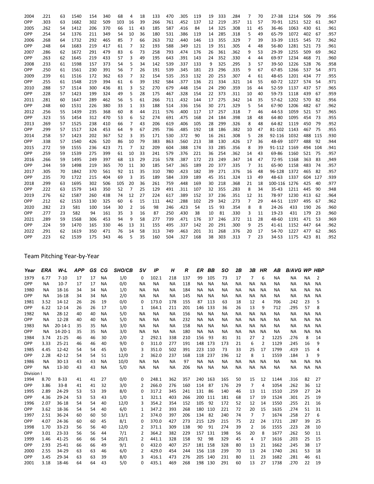| 2004 | .221 | 63 | 1540 | 154 | 340 | 68  | 4              | 18 | 133 | 470 | .305 | 119 | 19 | 333 | .284 | 7              | 70 | 27-38        | 1214 | 506 | 79  | .956 |
|------|------|----|------|-----|-----|-----|----------------|----|-----|-----|------|-----|----|-----|------|----------------|----|--------------|------|-----|-----|------|
| OPP  | .303 | 63 | 1682 | 302 | 509 | 103 | 16             | 39 | 266 | 761 | .452 | 137 | 12 | 219 | .357 | 11             | 57 | 70-91        | 1251 | 522 | 61  | .967 |
| 2005 | .262 | 54 | 1412 | 206 | 370 | 66  | 11             | 43 | 185 | 587 | .416 | 84  | 14 | 325 | .308 | 11             | 45 | 36-46        | 1063 | 430 | 61  | .961 |
| OPP  | .254 | 54 | 1376 | 211 | 349 | 54  | 10             | 36 | 180 | 531 | .386 | 119 | 14 | 285 | .318 | 5              | 49 | 65-79        | 1072 | 402 | 67  | .957 |
| 2006 | .268 | 64 | 1732 | 292 | 465 | 85  | $\overline{7}$ | 66 | 263 | 732 | .440 | 146 | 13 | 355 | .329 | 7              | 39 | 33-39        | 1315 | 545 | 72  | .962 |
| OPP  | .248 | 64 | 1683 | 219 | 417 | 61  | $\overline{7}$ | 32 | 193 | 588 | .349 | 121 | 19 | 351 | .305 | 4              | 48 | 56-80        | 1281 | 521 | 73  | .961 |
| 2007 | .286 | 62 | 1672 | 291 | 479 | 83  | 6              | 73 | 258 | 793 | .474 | 176 | 26 | 361 | .362 | 9              | 53 | 29-39        | 1255 | 509 | 69  | .962 |
| OPP  | .263 | 62 | 1645 | 219 | 433 | 57  | 3              | 49 | 195 | 643 | .391 | 143 | 24 | 352 | .330 | 4              | 44 | 69-97        | 1234 | 468 | 71  | .960 |
| 2008 | .233 | 61 | 1598 | 157 | 373 | 54  | 5              | 34 | 142 | 539 | .337 | 133 | 9  | 325 | .295 | 3              | 57 | 39-50        | 1226 | 528 | 76  | .958 |
| OPP  | .250 | 61 | 1561 | 230 | 391 | 56  | 7              | 26 | 191 | 539 | .345 | 181 | 23 | 296 | .335 | 9              | 67 | 67-85        | 1266 | 537 | 54  | .971 |
| 2009 | .239 | 61 | 1516 | 172 | 362 | 63  | $\overline{7}$ | 32 | 154 | 535 | .353 | 132 | 20 | 253 | .307 | 4              | 61 | 48-65        | 1201 | 434 | 77  | .955 |
| OPP  | .255 | 61 | 1548 | 219 | 394 | 61  | 6              | 39 | 192 | 584 | .377 | 136 | 21 | 334 | .321 | 14             | 55 | 60-72        | 1227 | 574 | 54  | .971 |
| 2010 | .288 | 57 | 1514 | 300 | 436 | 81  | 3              | 52 | 270 | 679 | .448 | 154 | 24 | 290 | .359 | 16             | 44 | 52-59        | 1137 | 437 | 57  | .965 |
| OPP  | .228 | 57 | 1423 | 199 | 324 | 49  | 5              | 28 | 175 | 467 | .328 | 154 | 22 | 373 | .311 | 10             | 40 | 59-73        | 1118 | 439 | 67  | .959 |
| 2011 | .281 | 60 | 1647 | 289 | 462 | 56  | 5              | 61 | 266 | 711 | .432 | 144 | 17 | 275 | .342 | 14             | 35 | $57 - 62$    | 1202 | 570 | 82  | .956 |
| OPP  | .248 | 60 | 1531 | 226 | 380 | 33  | 1              | 33 | 188 | 514 | .336 | 156 | 30 | 271 | .329 | 5              | 54 | 67-90        | 1206 | 482 | 67  | .962 |
| 2012 | .256 | 55 | 1439 | 235 | 368 | 60  | 8              | 44 | 211 | 576 | .400 | 117 | 17 | 257 | .318 | 7              | 46 | 44-53        | 1059 | 521 | 57  | .965 |
| OPP  | .323 | 55 | 1454 | 312 | 470 | 53  | 6              | 52 | 274 | 691 | .475 | 168 | 24 | 184 | .398 | 18             | 48 | 64-80        | 1095 | 454 | 73  | .955 |
| 2013 | .269 | 57 | 1525 | 238 | 410 | 66  | 7              | 43 | 206 | 619 | .406 | 105 | 28 | 299 | .326 | 8              | 48 | 64-82        | 1119 | 450 | 79  | .952 |
| OPP  | .299 | 57 | 1517 | 324 | 453 | 64  | 9              | 67 | 295 | 736 | .485 | 192 | 18 | 186 | .382 | 10             | 47 | 81-102       | 1143 | 467 | 75  | .955 |
| 2014 | .258 | 57 | 1423 | 202 | 367 | 52  | 3              | 35 | 171 | 530 | .372 | 90  | 16 | 261 | .308 | 5              | 28 | 92-116       | 1032 | 488 | 115 | .930 |
| OPP  | .338 | 57 | 1540 | 426 | 520 | 86  | 10             | 79 | 383 | 863 | .560 | 213 | 38 | 130 | .426 | 17             | 36 | 48-69        | 1077 | 488 | 92  | .944 |
| 2015 | .272 | 59 | 1555 | 236 | 423 | 71  | $\overline{7}$ | 32 | 209 | 604 | .388 | 174 | 33 | 285 | .356 | 8              | 39 | 91-112       | 1169 | 494 | 104 | .941 |
| OPP  | .259 | 59 | 1539 | 275 | 399 | 61  | 10             | 33 | 241 | 579 | .376 | 221 | 36 | 254 | .362 | 14             | 43 | 69-86        | 1160 | 521 | 75  | .957 |
| 2016 | .266 | 59 | 1495 | 249 | 397 | 68  | 13             | 29 | 216 | 578 | .387 | 172 | 23 | 249 | .347 | 14             | 47 | 72-95        | 1168 | 363 | 83  | ,949 |
| OPP  | .244 | 59 | 1498 | 219 | 365 | 70  | 11             | 30 | 185 | 547 | .365 | 189 | 20 | 377 | .335 | 7              | 31 | 65-90        | 1158 | 483 | 74  | .957 |
| 2017 | .305 | 70 | 1842 | 370 | 561 | 92  | 11             | 35 | 310 | 780 | .423 | 182 | 39 | 271 | .376 | 16             | 48 | 96-128       | 1372 | 465 | 82  | .957 |
| OPP  | .235 | 70 | 1722 | 215 | 404 | 69  | 3              | 35 | 189 | 584 | .339 | 189 | 45 | 351 | .324 | 13             | 49 | 48-63        | 1337 | 604 | 127 | .939 |
| 2018 | .299 | 63 | 1695 | 302 | 506 | 105 | 20             | 36 | 261 | 759 | .448 | 169 | 30 | 218 | .368 | 21             | 18 | 100-116 1276 |      | 425 | 40  | .977 |
| OPP  | .222 | 63 | 1579 | 143 | 350 | 52  | $\overline{7}$ | 25 | 129 | 491 | .311 | 107 | 32 | 355 | .283 | 8              | 34 | 35-43        | 1211 | 445 | 90  | .948 |
| 2019 | .276 | 62 | 1587 | 260 | 438 | 74  | 12             | 27 | 224 | 617 | .389 | 152 | 37 | 236 | .351 | 12             | 31 | 78-97        | 1230 | 413 | 62  | .964 |
| OPP  | .212 | 62 | 1533 | 130 | 325 | 60  | 6              | 15 | 111 | 442 | .288 | 102 | 29 | 342 | .273 | $\overline{7}$ | 29 | 44-51        | 1197 | 495 | 67  | .962 |
| 2020 | .282 | 23 | 581  | 100 | 164 | 30  | 2              | 16 | 98  | 246 | .423 | 54  | 15 | 93  | .354 | 8              | 8  | 24-26        | 433  | 190 | 26  | .960 |
| OPP  | .277 | 23 | 582  | 94  | 161 | 35  | 3              | 16 | 87  | 250 | .430 | 38  | 10 | 81  | .330 | 3              | 11 | $19 - 23$    | 431  | 179 | 23  | .960 |
| 2021 | .289 | 59 | 1568 | 306 | 453 | 94  | 9              | 58 | 277 | 739 | .471 | 176 | 37 | 246 | .372 | 11             | 28 | 48-60        | 1191 | 471 | 53  | .969 |
| OPP  | .224 | 59 | 1470 | 165 | 330 | 46  | 13             | 31 | 155 | 495 | .337 | 142 | 20 | 291 | .300 | 9              | 25 | $41 - 61$    | 1152 | 447 | 64  | .962 |
| 2022 | .291 | 62 | 1619 | 350 | 471 | 76  | 14             | 58 | 313 | 749 | .463 | 201 | 31 | 268 | .376 | 20             | 17 | 54-70        | 1227 | 477 | 62  | .965 |
| OPP  | .223 | 62 | 1539 | 175 | 343 | 46  | 5              | 35 | 160 | 504 | .327 | 168 | 38 | 303 | .313 | $\overline{7}$ | 23 | 34-53        | 1175 | 423 | 81  | .952 |
|      |      |    |      |     |     |     |                |    |     |     |      |     |    |     |      |                |    |              |      |     |     |      |

Team Pitching Year-by-Year

| Year       | ERA       | W-L           | <b>APP</b> | GS | CG        | <b>SHO/CB</b> | SV             | IP        | н         | $\overline{R}$ | <b>ER</b> | <b>BB</b> | <b>SO</b> | 2B        | 3B             | HR             | AB        | <b>B/AVG WP</b> |           | <b>HBP</b> |
|------------|-----------|---------------|------------|----|-----------|---------------|----------------|-----------|-----------|----------------|-----------|-----------|-----------|-----------|----------------|----------------|-----------|-----------------|-----------|------------|
| 1979       | 6.77      | $7 - 10$      | 17         | 17 | <b>NA</b> | 1/0           | 0              | 102.1     | 218       | 137            | 99        | 105       | 73        | 17        | $\overline{7}$ | 6              | <b>NA</b> | <b>NA</b>       | <b>NA</b> | 2          |
| <b>OPP</b> | <b>NA</b> | $10-7$        | 17         | 17 | <b>NA</b> | 0/0           | NA             | <b>NA</b> | <b>NA</b> | 118            | <b>NA</b> | <b>NA</b> | <b>NA</b> | <b>NA</b> | <b>NA</b>      | <b>NA</b>      | <b>NA</b> | <b>NA</b>       | <b>NA</b> | <b>NA</b>  |
| 1980       | <b>NA</b> | 18-16         | 34         | 34 | <b>NA</b> | 1/0           | ΝA             | <b>NA</b> | <b>NA</b> | 184            | <b>NA</b> | <b>NA</b> | <b>NA</b> | <b>NA</b> | <b>NA</b>      | <b>NA</b>      | <b>NA</b> | <b>NA</b>       | <b>NA</b> | <b>NA</b>  |
| OPP        | <b>NA</b> | 16-18         | 34         | 34 | <b>NA</b> | 2/0           | <b>NA</b>      | <b>NA</b> | <b>NA</b> | 145            | <b>NA</b> | <b>NA</b> | NA        | <b>NA</b> | ΝA             | <b>NA</b>      | <b>NA</b> | <b>NA</b>       | <b>NA</b> | <b>NA</b>  |
| 1981       | 3.52      | 14-12         | 26         | 26 | 19        | 0/0           | $\Omega$       | 173.0     | 178       | 155            | 87        | 113       | 63        | 18        | 12             | 4              | 706       | .242            | 23        | 5          |
| OPP        | 6.22      | $12 - 14$     | 26         | 26 | 17        | 1/0           | 1              | 164.1     | 211       | 201            | 146       | 133       | 36        | 26        | 13             | 9              | 712       | .295            | 57        | 8          |
| 1982       | <b>NA</b> | $28 - 12$     | 40         | 40 | <b>NA</b> | 5/0           | <b>NA</b>      | <b>NA</b> | <b>NA</b> | 156            | <b>NA</b> | <b>NA</b> | <b>NA</b> | <b>NA</b> | <b>NA</b>      | <b>NA</b>      | <b>NA</b> | <b>NA</b>       | <b>NA</b> | <b>NA</b>  |
| OPP        | <b>NA</b> | 12-28         | 40         | 40 | <b>NA</b> | 5/0           | <b>NA</b>      | <b>NA</b> | <b>NA</b> | 232            | <b>NA</b> | <b>NA</b> | <b>NA</b> | <b>NA</b> | <b>NA</b>      | <b>NA</b>      | <b>NA</b> | <b>NA</b>       | <b>NA</b> | <b>NA</b>  |
| 1983       | NА        | $20 - 14 - 1$ | 35         | 35 | <b>NA</b> | 3/0           | <b>NA</b>      | <b>NA</b> | <b>NA</b> | 158            | <b>NA</b> | <b>NA</b> | <b>NA</b> | <b>NA</b> | <b>NA</b>      | <b>NA</b>      | <b>NA</b> | <b>NA</b>       | <b>NA</b> | <b>NA</b>  |
| OPP        | <b>NA</b> | $14 - 20 - 1$ | 35         | 35 | <b>NA</b> | 3/0           | <b>NA</b>      | <b>NA</b> | <b>NA</b> | 180            | <b>NA</b> | <b>NA</b> | <b>NA</b> | <b>NA</b> | <b>NA</b>      | <b>NA</b>      | <b>NA</b> | <b>NA</b>       | <b>NA</b> | <b>NA</b>  |
| 1984       | 3.74      | $21 - 25$     | 46         | 46 | 30        | 2/0           | 2              | 292.1     | 338       | 210            | 156       | 93        | 81        | 31        | 27             | 2              | 1225      | .276            | 8         | 14         |
| OPP        | 3.33      | $25 - 21$     | 46         | 46 | 40        | 9/0           | 0              | 311.0     | 277       | 191            | 148       | 173       | 173       | 21        | 6              | $\overline{2}$ | 1129      | .245            | 16        | 9          |
| 1985       | 4.45      | $12 - 42$     | 54         | 54 | 45        | 3/0           | 3              | 351.0     | 502       | 391            | 223       | 110       | 73        | 33        | 25             | 17             | 1799      | .419            | 15        | 4          |
| <b>OPP</b> | 2.28      | 42-12         | 54         | 54 | 51        | 12/0          | $\overline{2}$ | 362.0     | 237       | 168            | 118       | 237       | 196       | 12        | 8              | $\mathbf{1}$   | 1559      | .184            | 3         | 9          |
| 1986       | NА        | 30-13         | 43         | 43 | <b>NA</b> | 10/0          | <b>NA</b>      | NА        | <b>NA</b> | 97             | <b>NA</b> | <b>NA</b> | NA        | <b>NA</b> | NA             | NА             | <b>NA</b> | <b>NA</b>       | <b>NA</b> | <b>NA</b>  |
| OPP        | <b>NA</b> | 13-30         | 43         | 43 | <b>NA</b> | 5/0           | <b>NA</b>      | <b>NA</b> | <b>NA</b> | 206            | <b>NA</b> | <b>NA</b> | <b>NA</b> | <b>NA</b> | <b>NA</b>      | NА             | <b>NA</b> | <b>NA</b>       | <b>NA</b> | <b>NA</b>  |
| Division I |           |               |            |    |           |               |                |           |           |                |           |           |           |           |                |                |           |                 |           |            |
| 1994       | 8.70      | $8 - 33$      | 41         | 41 | 27        | 0/0           | 0              | 248.1     | 362       | 357            | 240       | 163       | 165       | 50        | 15             | 12             | 1144      | .316            | 82        | 27         |
| OPP        | 3.86      | $33 - 8$      | 41         | 41 | 32        | 3/0           | 2              | 266.0     | 276       | 160            | 114       | 87        | 176       | 29        | $\overline{7}$ | 4              | 1054      | .262            | 36        | 12         |
| 1995       | 2.89      | 24-29         | 53         | 53 | 39        | 8/0           | 0              | 317.2     | 345       | 241            | 131       | 86        | 140       | 46        | 13             | 11             | 1510      | .259            | 27        | 24         |
| <b>OPP</b> | 4.36      | 29-24         | 53         | 53 | 43        | 1/0           | 1              | 321.1     | 403       | 266            | 200       | 111       | 181       | 68        | 17             | 19             | 1524      | .301            | 25        | 19         |
| 1996       | 2.07      | $36 - 18$     | 54         | 54 | 40        | 12/0          | 3              | 354.2     | 354       | 152            | 105       | 92        | 172       | 52        | 12             | 14             | 1550      | .255            | 21        | 16         |
| <b>OPP</b> | 3.62      | 18-36         | 54         | 54 | 40        | 6/0           | 1              | 347.2     | 393       | 268            | 180       | 110       | 221       | 72        | 20             | 15             | 1635      | .274            | 51        | 31         |
| 1997       | 2.51      | 36-24         | 60         | 60 | 50        | 13/1          | 2              | 374.0     | 397       | 206            | 134       | 82        | 240       | 74        | $\overline{7}$ | $\overline{7}$ | 1674      | .258            | 27        | 6          |
| <b>OPP</b> | 4.07      | 24-36         | 60         | 60 | 45        | 8/1           | 0              | 370.0     | 427       | 273            | 215       | 129       | 215       | 75        | 22             | 24             | 1721      | .287            | 39        | 25         |
| 1998       | 1.70      | $33 - 23$     | 56         | 56 | 40        | 12/0          | 2              | 371.1     | 309       | 138            | 90        | 91        | 274       | 39        | 2              | 16             | 1555      | .223            | 28        | 10         |
| <b>OPP</b> | 3.01      | 23-33         | 56         | 56 | 44        | 7/1           | 2              | 364.2     | 382       | 229            | 157       | 131       | 198       | 56        | 20             | 8              | 1677      | .262            | 50        | 11         |
| 1999       | 1.46      | 41-25         | 66         | 66 | 54        | 20/1          | $\overline{2}$ | 441.1     | 328       | 158            | 92        | 98        | 329       | 45        | 4              | 17             | 1616      | .203            | 25        | 15         |
| <b>OPP</b> | 2.93      | 25-41         | 66         | 66 | 49        | 9/1           | 0              | 432.0     | 407       | 257            | 181       | 158       | 328       | 80        | 13             | 21             | 1662      | .245            | 38        | 17         |
| 2000       | 2.55      | 34-29         | 63         | 63 | 46        | 6/0           | 2              | 429.0     | 454       | 244            | 156       | 118       | 239       | 70        | 13             | 24             | 1740      | .261            | 53        | 18         |
| OPP        | 3.45      | 29-34         | 63         | 63 | 39        | 8/0           | 3              | 416.1     | 473       | 276            | 205       | 140       | 231       | 80        | 11             | 23             | 1682      | .281            | 46        | 61         |
| 2001       | 3.18      | 18-46         | 64         | 64 | 43        | 5/0           | 0              | 435.1     | 469       | 268            | 198       | 130       | 291       | 60        | 13             | 27             | 1738      | .270            | 22        | 19         |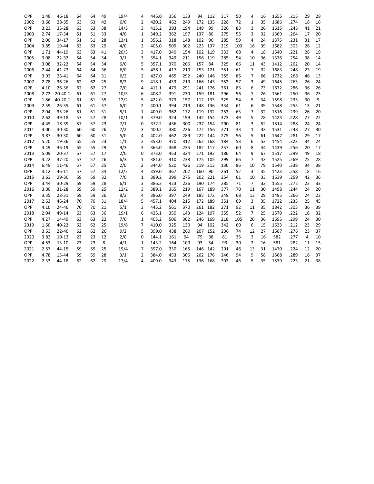| OPP  | 1.48 | 46-18         | 64 | 64 | 49 | 19/4 | 4              | 445.0 | 356 | 133 | 94      | 112     | 317 | 50  | 4            | 16 | 1655 | .215 | 29 | 28 |
|------|------|---------------|----|----|----|------|----------------|-------|-----|-----|---------|---------|-----|-----|--------------|----|------|------|----|----|
| 2002 | 3.68 | 28-35         | 63 | 63 | 42 | 6/0  | $\overline{2}$ | 420.2 | 462 | 249 | 172     | 135     | 228 | 72  | $\mathbf{1}$ | 35 | 1686 | .274 | 18 | 16 |
| OPP  | 3.23 | $35 - 28$     | 63 | 63 | 38 | 14/3 | 3              | 415.2 | 393 | 194 | 149     | 99      | 326 | 83  | 3            | 26 | 1615 | .243 | 41 | 21 |
| 2003 | 2.74 | 17-34         | 51 | 51 | 33 | 4/0  | 1              | 349.2 | 362 | 197 | 137     | 80      | 275 | 55  | 3            | 32 | 1369 | .264 | 17 | 20 |
| OPP  | 2.00 | 34-17         | 51 | 51 | 28 | 13/1 | $\mathbf 1$    | 356.2 | 318 | 148 | 102     | 90      | 285 | 59  | 4            | 24 | 1375 | .231 | 31 | 17 |
| 2004 | 3.85 | 19-44         | 63 | 63 | 29 | 4/0  | $\overline{2}$ | 405.0 | 509 | 302 | 223     | 137     | 219 | 103 | 16           | 39 | 1682 | .303 | 26 | 12 |
| OPP  | 1.71 | 44-19         | 63 | 63 | 41 | 20/3 | 3              | 417.0 | 340 | 154 | 102     | 119     | 333 | 68  | 4            | 18 | 1540 | .221 | 26 | 19 |
| 2005 | 3.08 | 22-32         | 54 | 54 | 34 | 9/1  | 3              | 354.1 | 349 | 211 | 156 119 |         | 285 | 54  | 10           | 36 | 1376 | .254 | 38 | 14 |
| OPP  | 3.08 | 32-22         | 54 | 54 | 34 | 6/0  | 5              | 357.1 | 370 | 206 | 157     | 84      | 325 | 66  | 11           | 43 | 1412 | .262 | 20 | 14 |
| 2006 | 2.44 | 41-23         | 64 | 64 | 36 | 6/0  | 5              | 438.1 | 417 | 219 | 153     | 121     | 351 | 61  | 7            | 32 | 1683 | .248 | 23 | 19 |
| OPP  | 3.93 | 23-41         | 64 | 64 | 31 | 6/2  | 2              | 427.0 | 465 | 292 | 240     | 146     | 355 | 85  | 7            | 66 | 1732 | .268 | 46 | 13 |
| 2007 | 2.78 | 36-26         | 62 | 62 | 25 | 8/2  | 9              | 418.1 | 433 | 219 |         | 166 143 | 352 | 57  | 3            | 49 | 1645 | .263 | 26 | 24 |
| OPP  | 4.10 | 26-36         | 62 | 62 | 27 | 7/0  | 4              | 411.1 | 479 | 291 |         | 241 176 | 361 | 83  | 6            | 73 | 1672 | .286 | 36 | 26 |
| 2008 | 2.72 | $20 - 40 - 1$ | 61 | 61 | 27 | 10/3 | 6              | 408.2 | 391 | 230 | 159     | 181     | 296 | 56  | 7            | 26 | 1561 | .250 | 36 | 23 |
| OPP  | 1.86 | $40 - 20 - 1$ | 61 | 61 | 35 | 12/2 | 5              | 422.0 | 373 | 157 | 112 133 |         | 325 | 54  | 5            | 34 | 1598 | .233 | 30 | 9  |
| 2009 | 2.59 | 26-35         | 61 | 61 | 37 | 6/0  | 2              | 400.1 | 394 | 219 | 148 136 |         | 334 | 61  | 6            | 39 | 1548 | .255 | 13 | 21 |
| OPP  | 2.04 | 35-26         | 61 | 61 | 31 | 8/1  | 1              | 409.0 | 362 | 172 | 119 132 |         | 253 | 63  | 7            | 32 | 1516 | .239 | 26 | 20 |
| 2010 | 2.62 | 39-18         | 57 | 57 | 28 | 10/1 | 3              | 379.0 | 324 | 199 | 142 154 |         | 373 | 49  | 5            | 28 | 1423 | .228 | 27 | 22 |
| OPP  | 4.45 | 18-39         | 57 | 57 | 23 | 7/1  | 0              | 372.2 | 436 | 300 | 237 154 |         | 290 | 81  | 3            | 52 | 1514 | .288 | 24 | 24 |
| 2011 | 3.00 | 30-30         | 60 | 60 | 26 | 7/2  | 3              | 400.2 | 380 | 226 | 172     | 156     | 271 | 33  | $\mathbf{1}$ | 33 | 1531 | .248 | 27 | 30 |
| OPP  | 3.87 | 30-30         | 60 | 60 | 31 | 5/0  | 4              | 402.0 | 462 | 289 | 222 144 |         | 275 | 56  | 5            | 61 | 1647 | .281 | 29 | 17 |
| 2012 | 5.20 | 19-36         | 55 | 55 | 23 | 1/1  | 2              | 353.0 | 470 | 312 | 262     | 168     | 184 | 53  | 6            | 52 | 1454 | .323 | 34 | 24 |
| OPP  | 3.49 | 36-19         | 55 | 55 | 29 | 9/3  | 3              | 365.0 | 368 | 235 | 182 117 |         | 257 | 60  | 8            | 44 | 1439 | .256 | 20 | 17 |
| 2013 | 5.09 | 20-37         | 57 | 57 | 17 | 2/0  | 0              | 373.0 | 453 | 324 | 271 192 |         | 186 | 64  | 9            | 67 | 1517 | .299 | 49 | 18 |
| OPP  | 3.22 | 37-20         | 57 | 57 | 26 | 6/3  | 1              | 381.0 | 410 | 238 | 175 105 |         | 299 | 66  | 7            | 43 | 1525 | .269 | 25 | 28 |
| 2014 | 6.49 | 11-46         | 57 | 57 | 25 | 2/0  | 2              | 344.0 | 520 | 426 | 319 213 |         | 130 | 86  | 10           | 79 | 1540 | .338 | 34 | 38 |
| OPP  | 3.12 | 46-11         | 57 | 57 | 34 | 12/2 | 4              | 359.0 | 367 | 202 | 160     | 90      | 261 | 52  | 3            | 35 | 1423 | .258 | 18 | 16 |
| 2015 | 3.63 | 29-30         | 59 | 59 | 32 | 7/0  | $\mathbf{1}$   | 389.2 | 399 | 275 | 202     | 221     | 254 | 61  | 10           | 33 | 1539 | .259 | 42 | 36 |
| OPP  | 3.44 | 30-29         | 59 | 59 | 28 | 6/1  | 3              | 386.2 | 423 | 236 | 190     | 174     | 285 | 71  | 7            | 32 | 1555 | .272 | 23 | 33 |
| 2016 | 3.00 | 31-28         | 59 | 59 | 25 | 12/2 | 3              | 389.1 | 365 | 219 | 167 189 |         | 377 | 70  | 11           | 30 | 1498 | .244 | 24 | 20 |
| OPP  | 3.35 | 28-31         | 59 | 59 | 26 | 8/2  | 4              | 386.0 | 397 | 249 | 185     | 172     | 249 | 68  | 13           | 29 | 1495 | .266 | 24 | 23 |
| 2017 | 2.63 | 46-24         | 70 | 70 | 31 | 18/4 | 5              | 457.1 | 404 | 215 | 172 189 |         | 351 | 69  | 3            | 35 | 1722 | .235 | 25 | 45 |
| OPP  | 4.10 | 24-46         | 70 | 70 | 21 | 5/1  | 3              | 445.2 | 561 | 370 | 261 182 |         | 271 | 92  | 11           | 35 | 1842 | .305 | 36 | 39 |
| 2018 | 2.04 | 49-14         | 63 | 63 | 36 | 19/1 | 6              | 425.1 | 350 | 143 | 124 107 |         | 355 | 52  | 7            | 25 | 1579 | .222 | 18 | 32 |
| OPP  | 4.27 | 14-49         | 63 | 63 | 22 | 7/0  | 1              | 403.2 | 506 | 302 | 246     | 169     | 218 | 105 | 20           | 36 | 1695 | .299 | 24 | 30 |
| 2019 | 1.60 | 40-22         | 62 | 62 | 25 | 19/8 | 7              | 410.0 | 325 | 130 | 94      | 102     | 342 | 60  | 6            | 15 | 1533 | .212 | 23 | 29 |
| OPP  | 3.63 | 22-40         | 62 | 62 | 26 | 9/2  | 5              | 399.0 | 438 | 260 | 207     | 152     | 236 | 74  | 12           | 27 | 1587 | .276 | 23 | 37 |
| 2020 | 3.83 | $10 - 13$     | 23 | 23 | 12 | 2/0  | 0              | 144.1 | 161 | 94  | 79      | 38      | 81  | 35  | 3            | 16 | 582  | .277 | 4  | 10 |
| OPP  | 4.53 | $13 - 10$     | 23 | 23 | 8  | 4/1  | 1              | 143.2 | 164 | 100 | 93      | 54      | 93  | 30  | 2            | 16 | 581  | .282 | 11 | 15 |
| 2021 | 2.57 | 44-15         | 59 | 59 | 25 | 19/4 | 7              | 397.0 | 330 | 165 | 146     | 142     | 291 | 46  | 13           | 31 | 1470 | .224 | 12 | 20 |
| OPP  | 4.78 | 15-44         | 59 | 59 | 28 | 3/1  | 2              | 384.0 | 453 | 306 | 262     | 176     | 246 | 94  | 9            | 58 | 1568 | .289 | 16 | 37 |
| 2022 | 2.33 | 44-18         | 62 | 62 | 29 | 17/4 | 4              | 409.0 | 343 | 175 | 136 168 |         | 303 | 46  | 5            | 35 | 1539 | .223 | 21 | 38 |
|      |      |               |    |    |    |      |                |       |     |     |         |         |     |     |              |    |      |      |    |    |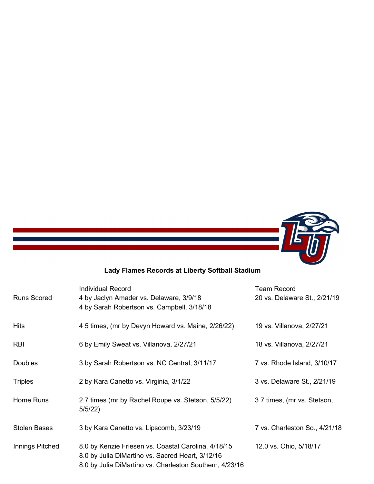

# **Lady Flames Records at Liberty Softball Stadium**

| <b>Runs Scored</b>  | <b>Individual Record</b><br>4 by Jaclyn Amader vs. Delaware, 3/9/18<br>4 by Sarah Robertson vs. Campbell, 3/18/18                                                  | <b>Team Record</b><br>20 vs. Delaware St., 2/21/19 |
|---------------------|--------------------------------------------------------------------------------------------------------------------------------------------------------------------|----------------------------------------------------|
| <b>Hits</b>         | 4 5 times, (mr by Devyn Howard vs. Maine, 2/26/22)                                                                                                                 | 19 vs. Villanova, 2/27/21                          |
| <b>RBI</b>          | 6 by Emily Sweat vs. Villanova, 2/27/21                                                                                                                            | 18 vs. Villanova, 2/27/21                          |
| <b>Doubles</b>      | 3 by Sarah Robertson vs. NC Central, 3/11/17                                                                                                                       | 7 vs. Rhode Island, 3/10/17                        |
| <b>Triples</b>      | 2 by Kara Canetto vs. Virginia, 3/1/22                                                                                                                             | 3 vs. Delaware St., 2/21/19                        |
| Home Runs           | 27 times (mr by Rachel Roupe vs. Stetson, 5/5/22)<br>5/5/22)                                                                                                       | 37 times, (mr vs. Stetson,                         |
| <b>Stolen Bases</b> | 3 by Kara Canetto vs. Lipscomb, 3/23/19                                                                                                                            | 7 vs. Charleston So., 4/21/18                      |
| Innings Pitched     | 8.0 by Kenzie Friesen vs. Coastal Carolina, 4/18/15<br>8.0 by Julia DiMartino vs. Sacred Heart, 3/12/16<br>8.0 by Julia DiMartino vs. Charleston Southern, 4/23/16 | 12.0 vs. Ohio, 5/18/17                             |